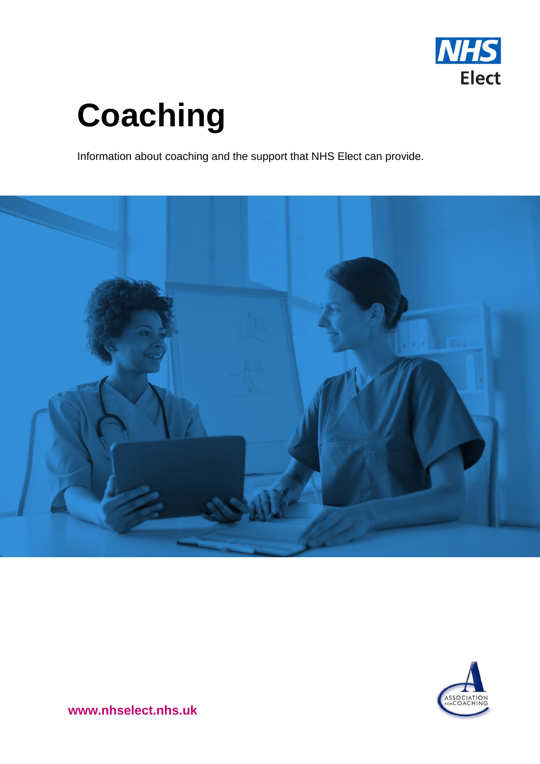

# **Coaching**

Information about coaching and the support that NHS Elect can provide.





**www.nhselect.nhs.uk**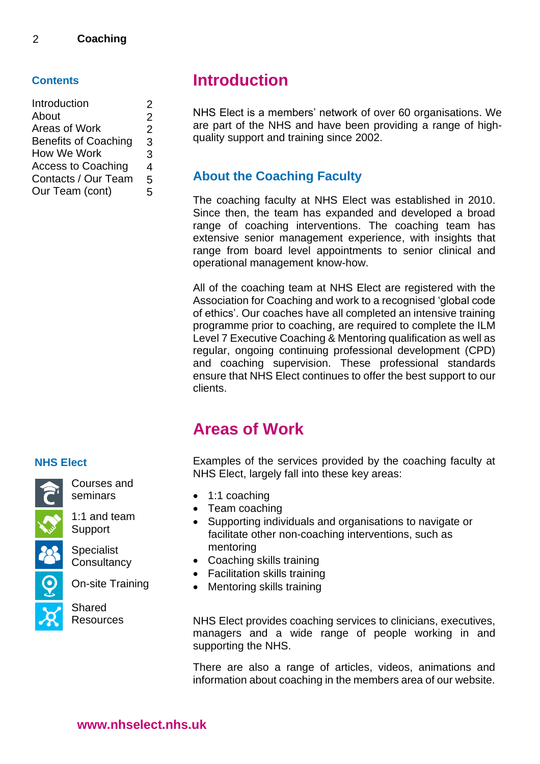#### **Contents**

| Introduction                | 2              |
|-----------------------------|----------------|
| About                       | 2              |
| Areas of Work               | $\overline{2}$ |
| <b>Benefits of Coaching</b> | 3              |
| How We Work                 | 3              |
| <b>Access to Coaching</b>   | 4              |
| Contacts / Our Team         | 5              |
| Our Team (cont)             | 5              |
|                             |                |

### **Introduction**

NHS Elect is a members' network of over 60 organisations. We are part of the NHS and have been providing a range of highquality support and training since 2002.

### **About the Coaching Faculty**

The coaching faculty at NHS Elect was established in 2010. Since then, the team has expanded and developed a broad range of coaching interventions. The coaching team has extensive senior management experience, with insights that range from board level appointments to senior clinical and operational management know-how.

All of the coaching team at NHS Elect are registered with the Association for Coaching and work to a recognised 'global code of ethics'. Our coaches have all completed an intensive training programme prior to coaching, are required to complete the ILM Level 7 Executive Coaching & Mentoring qualification as well as regular, ongoing continuing professional development (CPD) and coaching supervision. These professional standards ensure that NHS Elect continues to offer the best support to our clients.

## **Areas of Work**

Examples of the services provided by the coaching faculty at NHS Elect, largely fall into these key areas:

- 1:1 coaching
- Team coaching
- Supporting individuals and organisations to navigate or facilitate other non-coaching interventions, such as mentoring
- Coaching skills training
- Facilitation skills training
- Mentoring skills training

NHS Elect provides coaching services to clinicians, executives, managers and a wide range of people working in and supporting the NHS.

There are also a range of articles, videos, animations and information about coaching in the members area of our website.

### **NHS Elect**



Support Specialist

1:1 and team

Courses and seminars

**Consultancy** 

On-site Training

Shared **Resources**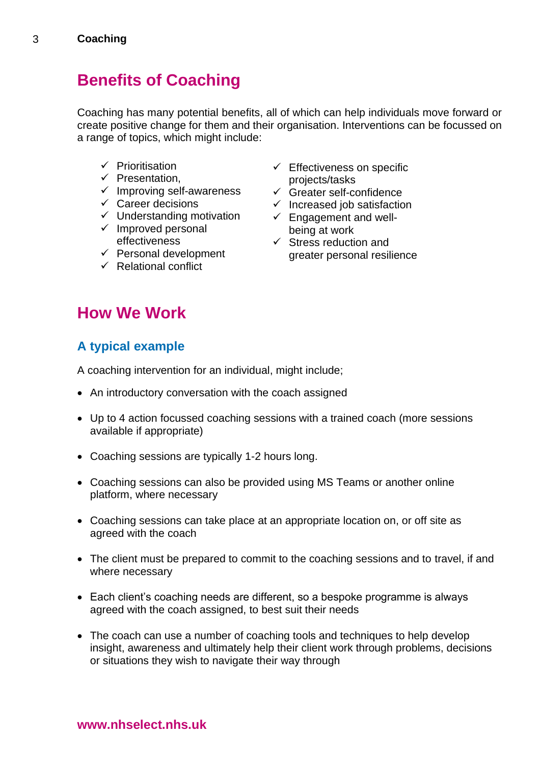# **Benefits of Coaching**

Coaching has many potential benefits, all of which can help individuals move forward or create positive change for them and their organisation. Interventions can be focussed on a range of topics, which might include:

- ✓ Prioritisation
- ✓ Presentation,
- ✓ Improving self-awareness
- $\checkmark$  Career decisions
- ✓ Understanding motivation
- $\checkmark$  Improved personal effectiveness
- $\checkmark$  Personal development
- $\checkmark$  Relational conflict
- $\checkmark$  Effectiveness on specific projects/tasks
- $\checkmark$  Greater self-confidence
- $\checkmark$  Increased job satisfaction
- $\checkmark$  Engagement and wellbeing at work
- $\checkmark$  Stress reduction and greater personal resilience

# **How We Work**

### **A typical example**

A coaching intervention for an individual, might include;

- An introductory conversation with the coach assigned
- Up to 4 action focussed coaching sessions with a trained coach (more sessions available if appropriate)
- Coaching sessions are typically 1-2 hours long.
- Coaching sessions can also be provided using MS Teams or another online platform, where necessary
- Coaching sessions can take place at an appropriate location on, or off site as agreed with the coach
- The client must be prepared to commit to the coaching sessions and to travel, if and where necessary
- Each client's coaching needs are different, so a bespoke programme is always agreed with the coach assigned, to best suit their needs
- The coach can use a number of coaching tools and techniques to help develop insight, awareness and ultimately help their client work through problems, decisions or situations they wish to navigate their way through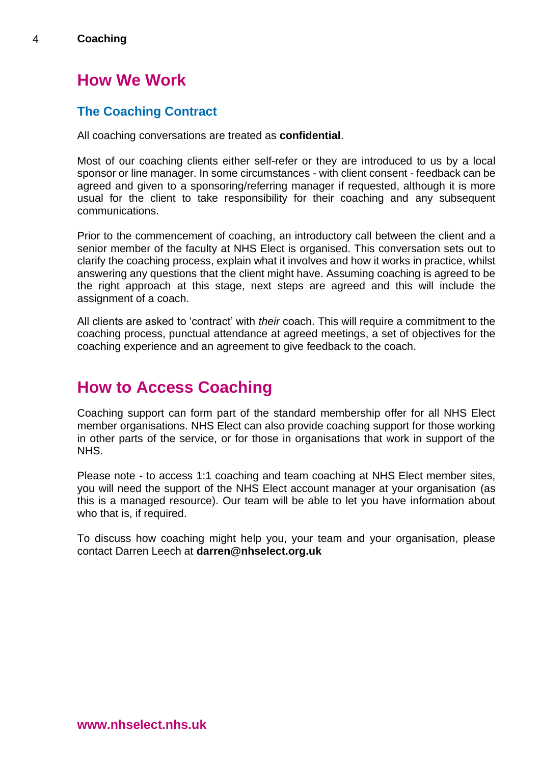# **How We Work**

### **The Coaching Contract**

All coaching conversations are treated as **confidential**.

Most of our coaching clients either self-refer or they are introduced to us by a local sponsor or line manager. In some circumstances - with client consent - feedback can be agreed and given to a sponsoring/referring manager if requested, although it is more usual for the client to take responsibility for their coaching and any subsequent communications.

Prior to the commencement of coaching, an introductory call between the client and a senior member of the faculty at NHS Elect is organised. This conversation sets out to clarify the coaching process, explain what it involves and how it works in practice, whilst answering any questions that the client might have. Assuming coaching is agreed to be the right approach at this stage, next steps are agreed and this will include the assignment of a coach.

All clients are asked to 'contract' with *their* coach. This will require a commitment to the coaching process, punctual attendance at agreed meetings, a set of objectives for the coaching experience and an agreement to give feedback to the coach.

# **How to Access Coaching**

Coaching support can form part of the standard membership offer for all NHS Elect member organisations. NHS Elect can also provide coaching support for those working in other parts of the service, or for those in organisations that work in support of the NHS.

Please note - to access 1:1 coaching and team coaching at NHS Elect member sites, you will need the support of the NHS Elect account manager at your organisation (as this is a managed resource). Our team will be able to let you have information about who that is, if required.

To discuss how coaching might help you, your team and your organisation, please contact Darren Leech at **darren@nhselect.org.uk**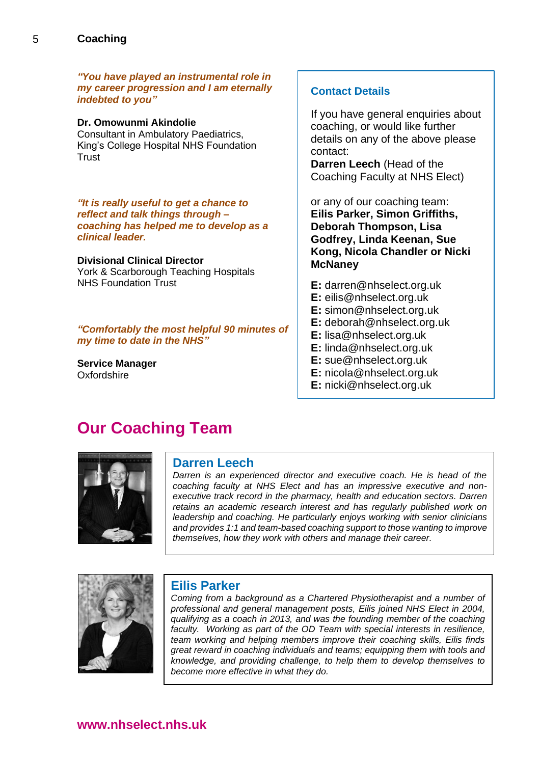5

*"You have played an instrumental role in my career progression and I am eternally indebted to you"*

#### **Dr. Omowunmi Akindolie**

Consultant in Ambulatory Paediatrics, King's College Hospital NHS Foundation **Trust** 

*"It is really useful to get a chance to reflect and talk things through – coaching has helped me to develop as a clinical leader.* 

#### **Divisional Clinical Director**

York & Scarborough Teaching Hospitals NHS Foundation Trust

*"Comfortably the most helpful 90 minutes of my time to date in the NHS"*

**Service Manager Oxfordshire** 

#### **Contact Details**

If you have general enquiries about coaching, or would like further details on any of the above please contact:

**Darren Leech** (Head of the Coaching Faculty at NHS Elect)

or any of our coaching team: **Eilis Parker, Simon Griffiths, Deborah Thompson, Lisa Godfrey, Linda Keenan, Sue Kong, Nicola Chandler or Nicki McNaney**

- **E:** [darren@nhselect.org.uk](mailto:darren@nhselect.org.uk)
- **E:** [eilis@nhselect.org.uk](mailto:eilis@nhselect.org.uk)
- **E:** [simon@nhselect.org.uk](mailto:simon@nhselect.org.uk)
- **E:** [deborah@nhselect.org.uk](mailto:deborah@nhselect.org.uk)
- **E:** lisa@nhselect.org.uk
- **E:** [linda@nhselect.org.uk](mailto:linda@nhselect.org.uk)
- **E:** [sue@nhselect.org.uk](mailto:sue@nhselect.org.uk)
- **E:** [nicola@nhselect.org.uk](mailto:nicola@nhselect.org.uk)
- **E:** nicki@nhselect.org.uk

### **Our Coaching Team**



#### **Darren Leech**

*Darren is an experienced director and executive coach. He is head of the coaching faculty at NHS Elect and has an impressive executive and nonexecutive track record in the pharmacy, health and education sectors. Darren retains an academic research interest and has regularly published work on leadership and coaching. He particularly enjoys working with senior clinicians and provides 1:1 and team-based coaching support to those wanting to improve themselves, how they work with others and manage their career.* 



#### **Eilis Parker**

*Coming from a background as a Chartered Physiotherapist and a number of professional and general management posts, Eilis joined NHS Elect in 2004, qualifying as a coach in 2013, and was the founding member of the coaching*  faculty. Working as part of the OD Team with special interests in resilience, *team working and helping members improve their coaching skills, Eilis finds great reward in coaching individuals and teams; equipping them with tools and knowledge, and providing challenge, to help them to develop themselves to become more effective in what they do.*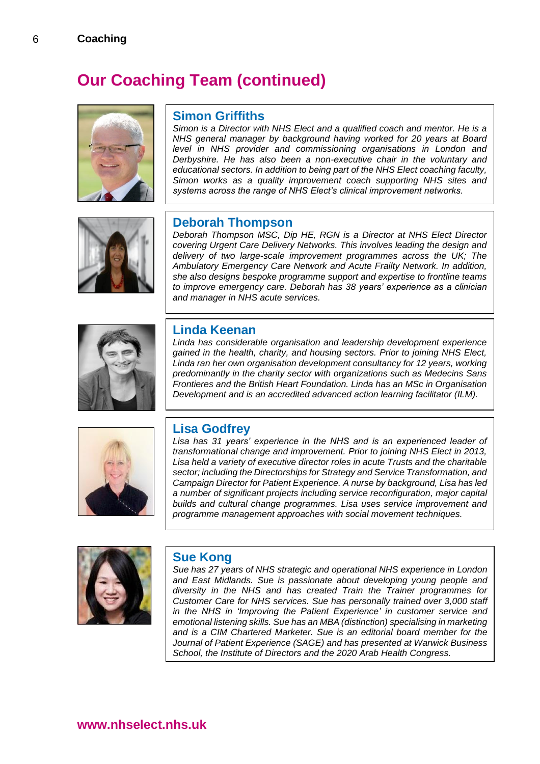6

# **Our Coaching Team (continued)**



#### **Simon Griffiths**

*Simon is a Director with NHS Elect and a qualified coach and mentor. He is a NHS general manager by background having worked for 20 years at Board level in NHS provider and commissioning organisations in London and Derbyshire. He has also been a non-executive chair in the voluntary and educational sectors. In addition to being part of the NHS Elect coaching faculty, Simon works as a quality improvement coach supporting NHS sites and systems across the range of NHS Elect's clinical improvement networks.* 



#### **Deborah Thompson**

*Deborah Thompson MSC, Dip HE, RGN is a Director at NHS Elect Director covering Urgent Care Delivery Networks. This involves leading the design and delivery of two large-scale improvement programmes across the UK; The Ambulatory Emergency Care Network and Acute Frailty Network. In addition, she also designs bespoke programme support and expertise to frontline teams to improve emergency care. Deborah has 38 years' experience as a clinician and manager in NHS acute services.*



#### **Linda Keenan**

*Linda has considerable organisation and leadership development experience gained in the health, charity, and housing sectors. Prior to joining NHS Elect, Linda ran her own organisation development consultancy for 12 years, working predominantly in the charity sector with organizations such as Medecins Sans Frontieres and the British Heart Foundation. Linda has an MSc in Organisation Development and is an accredited advanced action learning facilitator (ILM).*



### **Lisa Godfrey**

*Lisa has 31 years' experience in the NHS and is an experienced leader of transformational change and improvement. Prior to joining NHS Elect in 2013, Lisa held a variety of executive director roles in acute Trusts and the charitable sector; including the Directorships for Strategy and Service Transformation, and Campaign Director for Patient Experience. A nurse by background, Lisa has led a number of significant projects including service reconfiguration, major capital builds and cultural change programmes. Lisa uses service improvement and programme management approaches with social movement techniques.*



#### **Sue Kong**

*Sue has 27 years of NHS strategic and operational NHS experience in London and East Midlands. Sue is passionate about developing young people and diversity in the NHS and has created Train the Trainer programmes for Customer Care for NHS services. Sue has personally trained over 3,000 staff in the NHS in 'Improving the Patient Experience' in customer service and emotional listening skills. Sue has an MBA (distinction) specialising in marketing and is a CIM Chartered Marketer. Sue is an editorial board member for the Journal of Patient Experience (SAGE) and has presented at Warwick Business School, the Institute of Directors and the 2020 Arab Health Congress.*